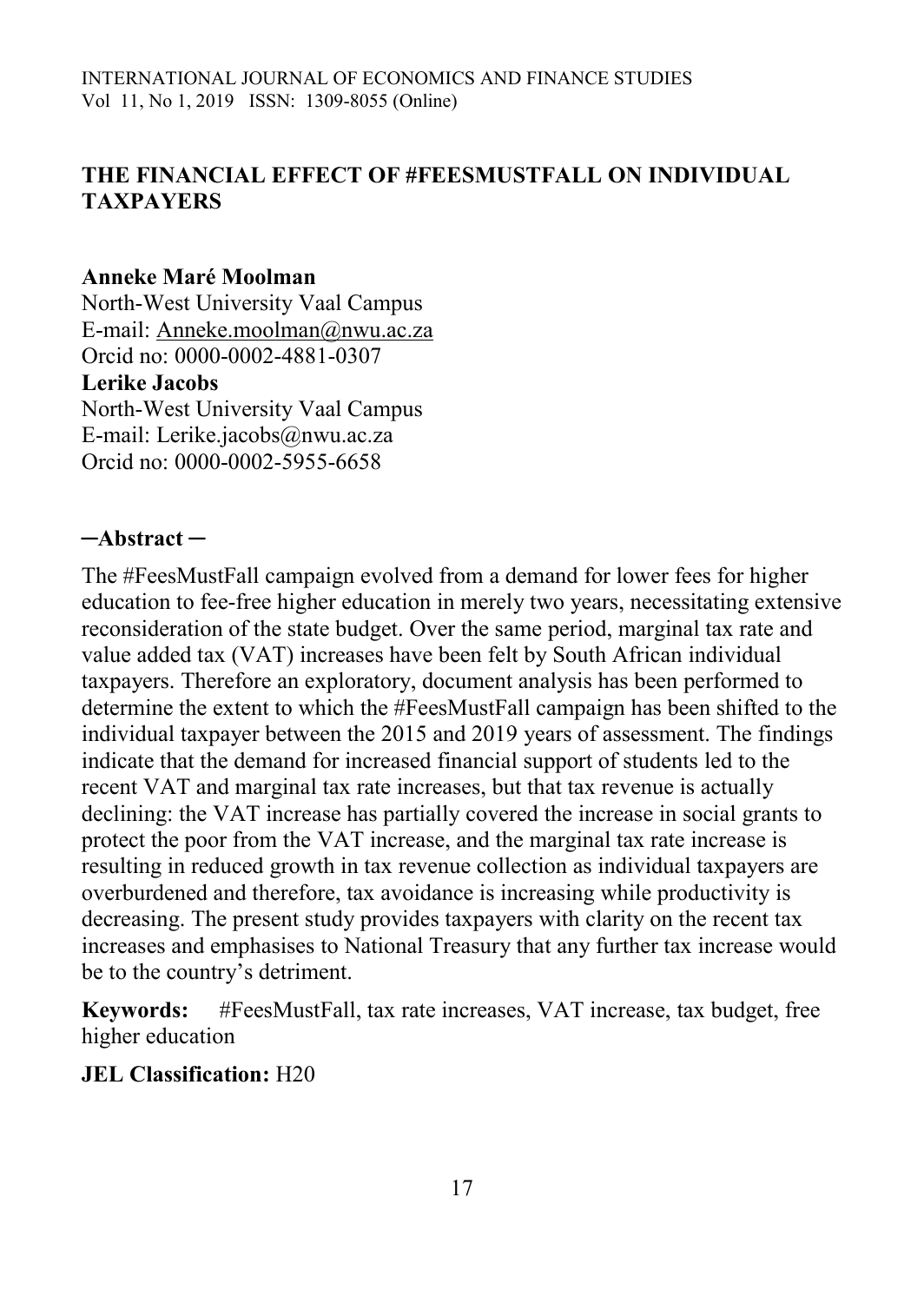## **THE FINANCIAL EFFECT OF #FEESMUSTFALL ON INDIVIDUAL TAXPAYERS**

#### **Anneke Maré Moolman**

North-West University Vaal Campus E-mail: [Anneke.moolman@nwu.ac.za](mailto:Anneke.moolman@nwu.ac.za) Orcid no: 0000-0002-4881-0307 **Lerike Jacobs** North-West University Vaal Campus E-mail: Lerike.jacobs@nwu.ac.za Orcid no: 0000-0002-5955-6658

### **─Abstract ─**

The #FeesMustFall campaign evolved from a demand for lower fees for higher education to fee-free higher education in merely two years, necessitating extensive reconsideration of the state budget. Over the same period, marginal tax rate and value added tax (VAT) increases have been felt by South African individual taxpayers. Therefore an exploratory, document analysis has been performed to determine the extent to which the #FeesMustFall campaign has been shifted to the individual taxpayer between the 2015 and 2019 years of assessment. The findings indicate that the demand for increased financial support of students led to the recent VAT and marginal tax rate increases, but that tax revenue is actually declining: the VAT increase has partially covered the increase in social grants to protect the poor from the VAT increase, and the marginal tax rate increase is resulting in reduced growth in tax revenue collection as individual taxpayers are overburdened and therefore, tax avoidance is increasing while productivity is decreasing. The present study provides taxpayers with clarity on the recent tax increases and emphasises to National Treasury that any further tax increase would be to the country's detriment.

**Keywords:** #FeesMustFall, tax rate increases, VAT increase, tax budget, free higher education

### **JEL Classification:** H20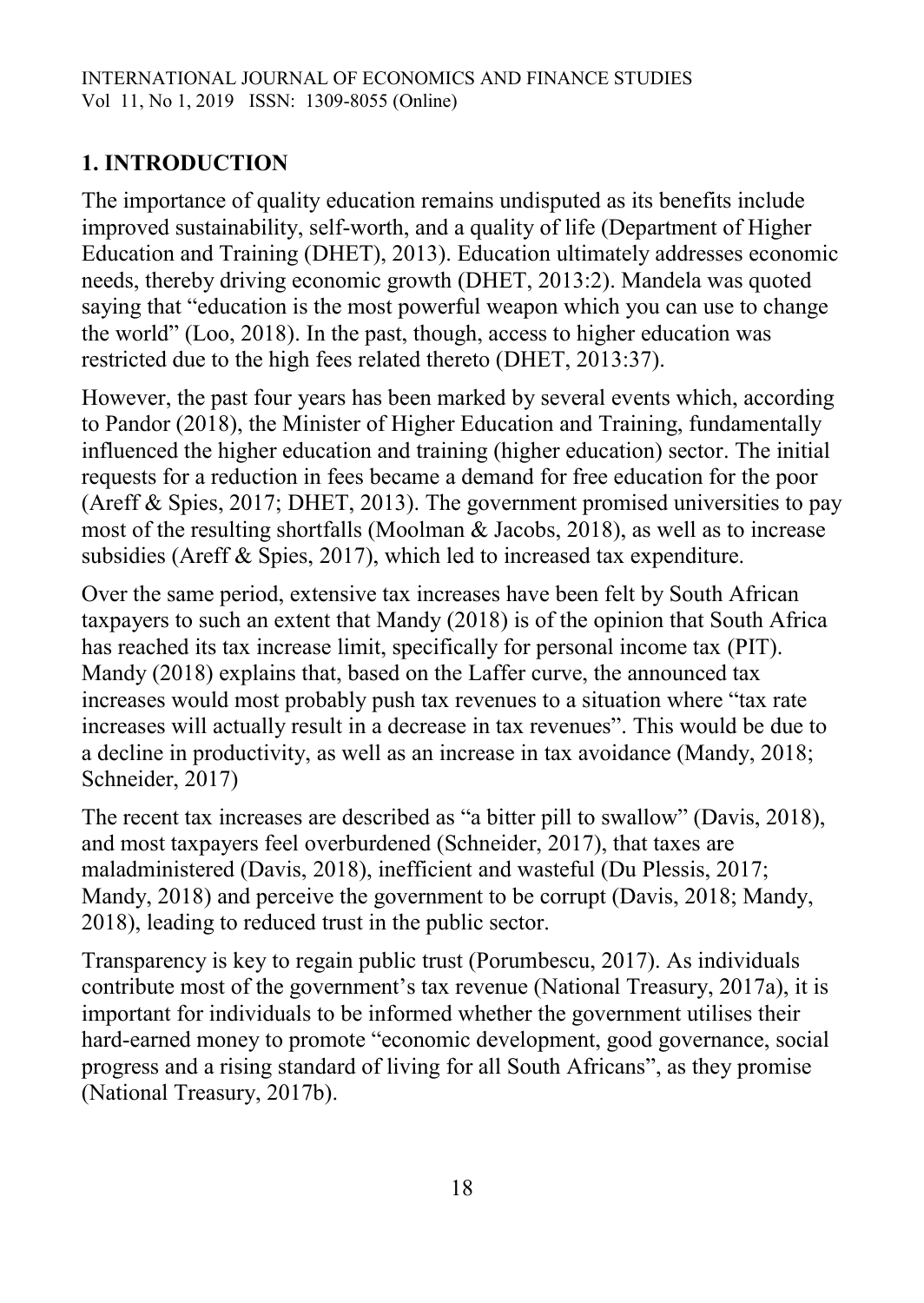# **1. INTRODUCTION**

The importance of quality education remains undisputed as its benefits include improved sustainability, self-worth, and a quality of life (Department of Higher Education and Training (DHET), 2013). Education ultimately addresses economic needs, thereby driving economic growth (DHET, 2013:2). Mandela was quoted saying that "education is the most powerful weapon which you can use to change the world" (Loo, 2018). In the past, though, access to higher education was restricted due to the high fees related thereto (DHET, 2013:37).

However, the past four years has been marked by several events which, according to Pandor (2018), the Minister of Higher Education and Training, fundamentally influenced the higher education and training (higher education) sector. The initial requests for a reduction in fees became a demand for free education for the poor (Areff & Spies, 2017; DHET, 2013). The government promised universities to pay most of the resulting shortfalls (Moolman & Jacobs, 2018), as well as to increase subsidies (Areff & Spies, 2017), which led to increased tax expenditure.

Over the same period, extensive tax increases have been felt by South African taxpayers to such an extent that Mandy (2018) is of the opinion that South Africa has reached its tax increase limit, specifically for personal income tax (PIT). Mandy (2018) explains that, based on the Laffer curve, the announced tax increases would most probably push tax revenues to a situation where "tax rate increases will actually result in a decrease in tax revenues". This would be due to a decline in productivity, as well as an increase in tax avoidance (Mandy, 2018; Schneider, 2017)

The recent tax increases are described as "a bitter pill to swallow" (Davis, 2018), and most taxpayers feel overburdened (Schneider, 2017), that taxes are maladministered (Davis, 2018), inefficient and wasteful (Du Plessis, 2017; Mandy, 2018) and perceive the government to be corrupt (Davis, 2018; Mandy, 2018), leading to reduced trust in the public sector.

Transparency is key to regain public trust (Porumbescu, 2017). As individuals contribute most of the government's tax revenue (National Treasury, 2017a), it is important for individuals to be informed whether the government utilises their hard-earned money to promote "economic development, good governance, social progress and a rising standard of living for all South Africans", as they promise (National Treasury, 2017b).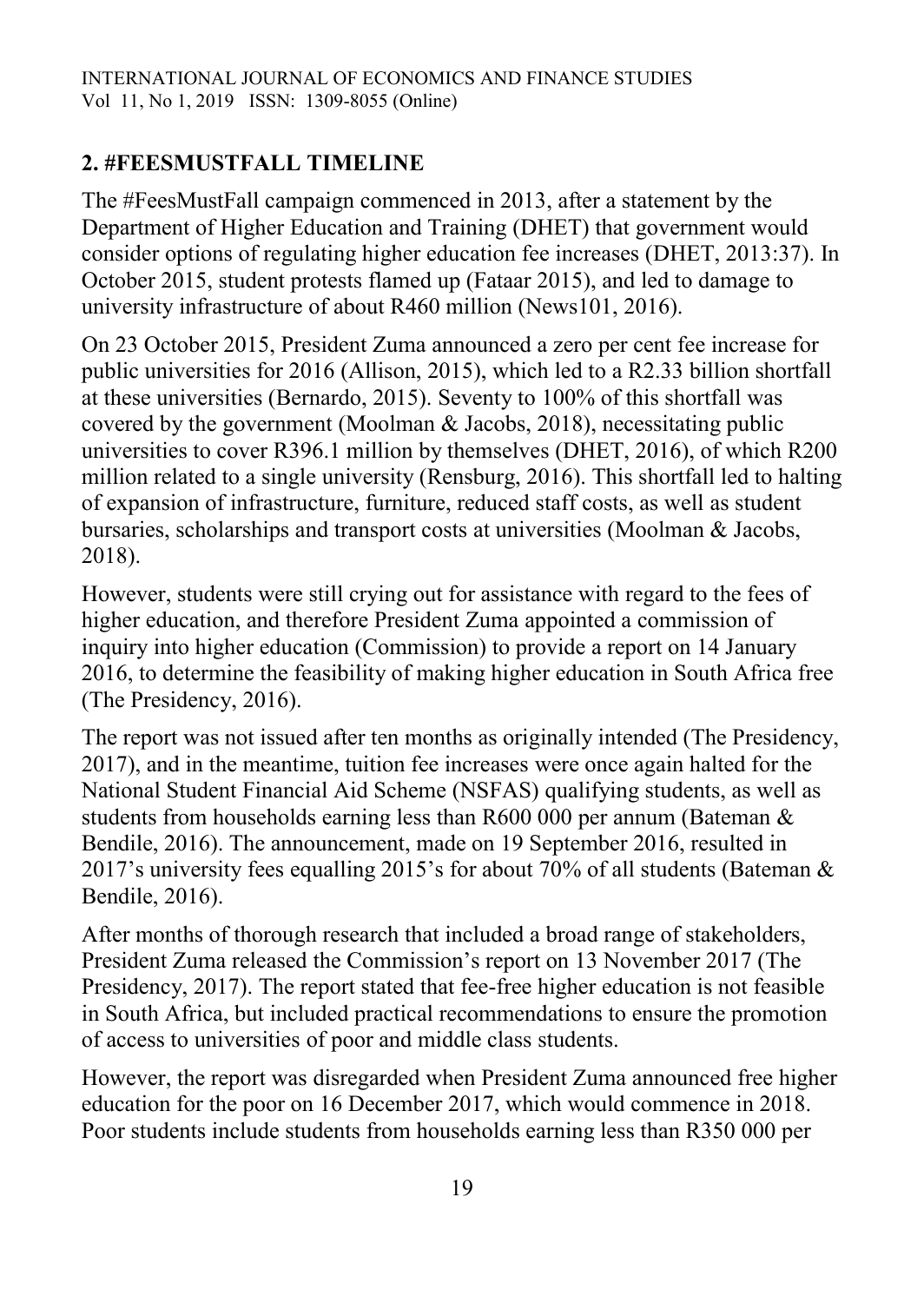# **2. #FEESMUSTFALL TIMELINE**

The #FeesMustFall campaign commenced in 2013, after a statement by the Department of Higher Education and Training (DHET) that government would consider options of regulating higher education fee increases (DHET, 2013:37). In October 2015, student protests flamed up (Fataar 2015), and led to damage to university infrastructure of about R460 million (News101, 2016).

On 23 October 2015, President Zuma announced a zero per cent fee increase for public universities for 2016 (Allison, 2015), which led to a R2.33 billion shortfall at these universities (Bernardo, 2015). Seventy to 100% of this shortfall was covered by the government (Moolman & Jacobs, 2018), necessitating public universities to cover R396.1 million by themselves (DHET, 2016), of which R200 million related to a single university (Rensburg, 2016). This shortfall led to halting of expansion of infrastructure, furniture, reduced staff costs, as well as student bursaries, scholarships and transport costs at universities (Moolman & Jacobs, 2018).

However, students were still crying out for assistance with regard to the fees of higher education, and therefore President Zuma appointed a commission of inquiry into higher education (Commission) to provide a report on 14 January 2016, to determine the feasibility of making higher education in South Africa free (The Presidency, 2016).

The report was not issued after ten months as originally intended (The Presidency, 2017), and in the meantime, tuition fee increases were once again halted for the National Student Financial Aid Scheme (NSFAS) qualifying students, as well as students from households earning less than R600 000 per annum (Bateman & Bendile, 2016). The announcement, made on 19 September 2016, resulted in 2017's university fees equalling 2015's for about 70% of all students (Bateman & Bendile, 2016).

After months of thorough research that included a broad range of stakeholders, President Zuma released the Commission's report on 13 November 2017 (The Presidency, 2017). The report stated that fee-free higher education is not feasible in South Africa, but included practical recommendations to ensure the promotion of access to universities of poor and middle class students.

However, the report was disregarded when President Zuma announced free higher education for the poor on 16 December 2017, which would commence in 2018. Poor students include students from households earning less than R350 000 per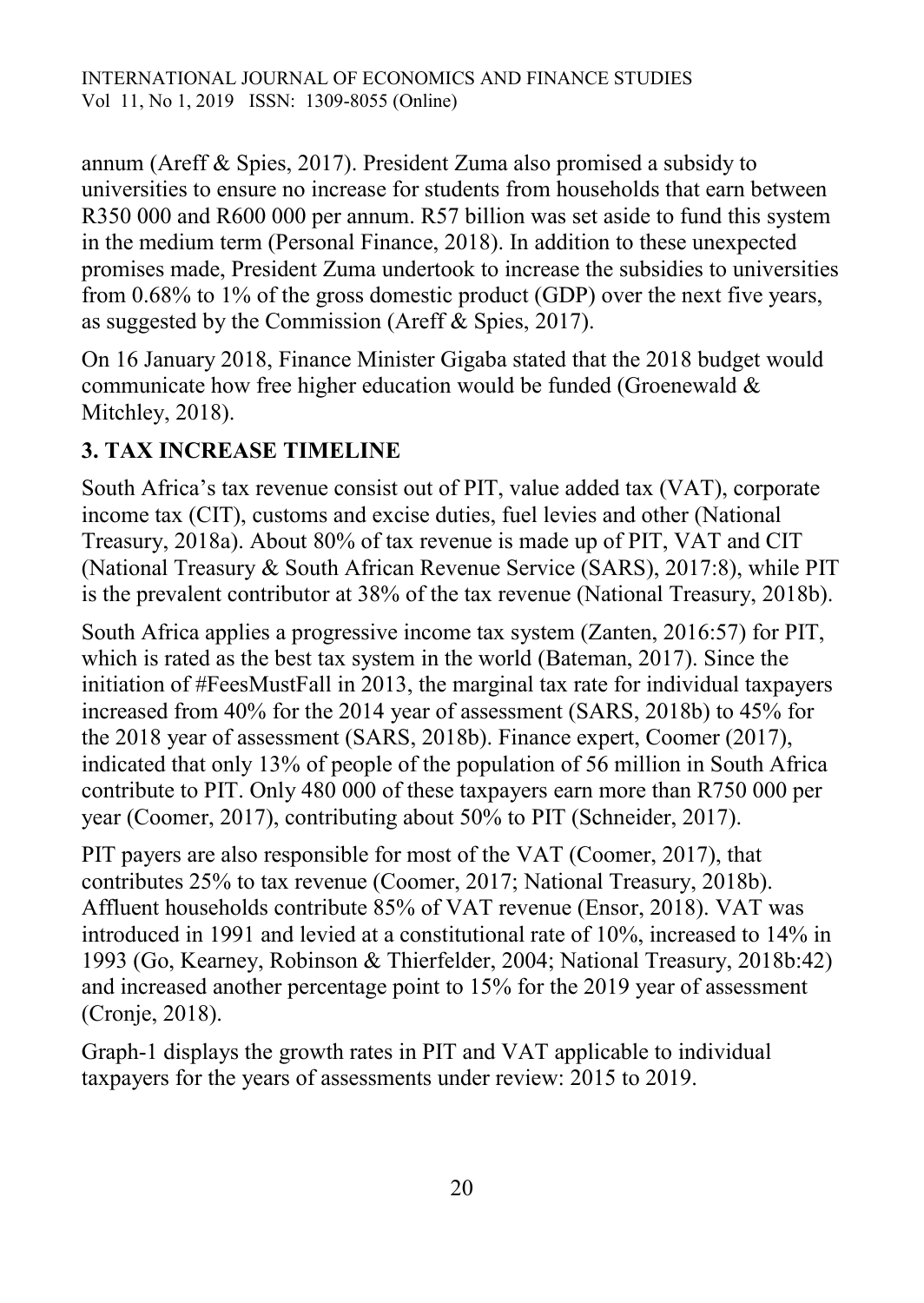annum (Areff & Spies, 2017). President Zuma also promised a subsidy to universities to ensure no increase for students from households that earn between R350 000 and R600 000 per annum. R57 billion was set aside to fund this system in the medium term (Personal Finance, 2018). In addition to these unexpected promises made, President Zuma undertook to increase the subsidies to universities from 0.68% to 1% of the gross domestic product (GDP) over the next five years, as suggested by the Commission (Areff & Spies, 2017).

On 16 January 2018, Finance Minister Gigaba stated that the 2018 budget would communicate how free higher education would be funded (Groenewald & Mitchley, 2018).

# **3. TAX INCREASE TIMELINE**

South Africa's tax revenue consist out of PIT, value added tax (VAT), corporate income tax (CIT), customs and excise duties, fuel levies and other (National Treasury, 2018a). About 80% of tax revenue is made up of PIT, VAT and CIT (National Treasury & South African Revenue Service (SARS), 2017:8), while PIT is the prevalent contributor at 38% of the tax revenue (National Treasury, 2018b).

South Africa applies a progressive income tax system (Zanten, 2016:57) for PIT, which is rated as the best tax system in the world (Bateman, 2017). Since the initiation of #FeesMustFall in 2013, the marginal tax rate for individual taxpayers increased from 40% for the 2014 year of assessment (SARS, 2018b) to 45% for the 2018 year of assessment (SARS, 2018b). Finance expert, Coomer (2017), indicated that only 13% of people of the population of 56 million in South Africa contribute to PIT. Only 480 000 of these taxpayers earn more than R750 000 per year (Coomer, 2017), contributing about 50% to PIT (Schneider, 2017).

PIT payers are also responsible for most of the VAT (Coomer, 2017), that contributes 25% to tax revenue (Coomer, 2017; National Treasury, 2018b). Affluent households contribute 85% of VAT revenue (Ensor, 2018). VAT was introduced in 1991 and levied at a constitutional rate of 10%, increased to 14% in 1993 (Go, Kearney, Robinson & Thierfelder, 2004; National Treasury, 2018b:42) and increased another percentage point to 15% for the 2019 year of assessment (Cronje, 2018).

Graph-1 displays the growth rates in PIT and VAT applicable to individual taxpayers for the years of assessments under review: 2015 to 2019.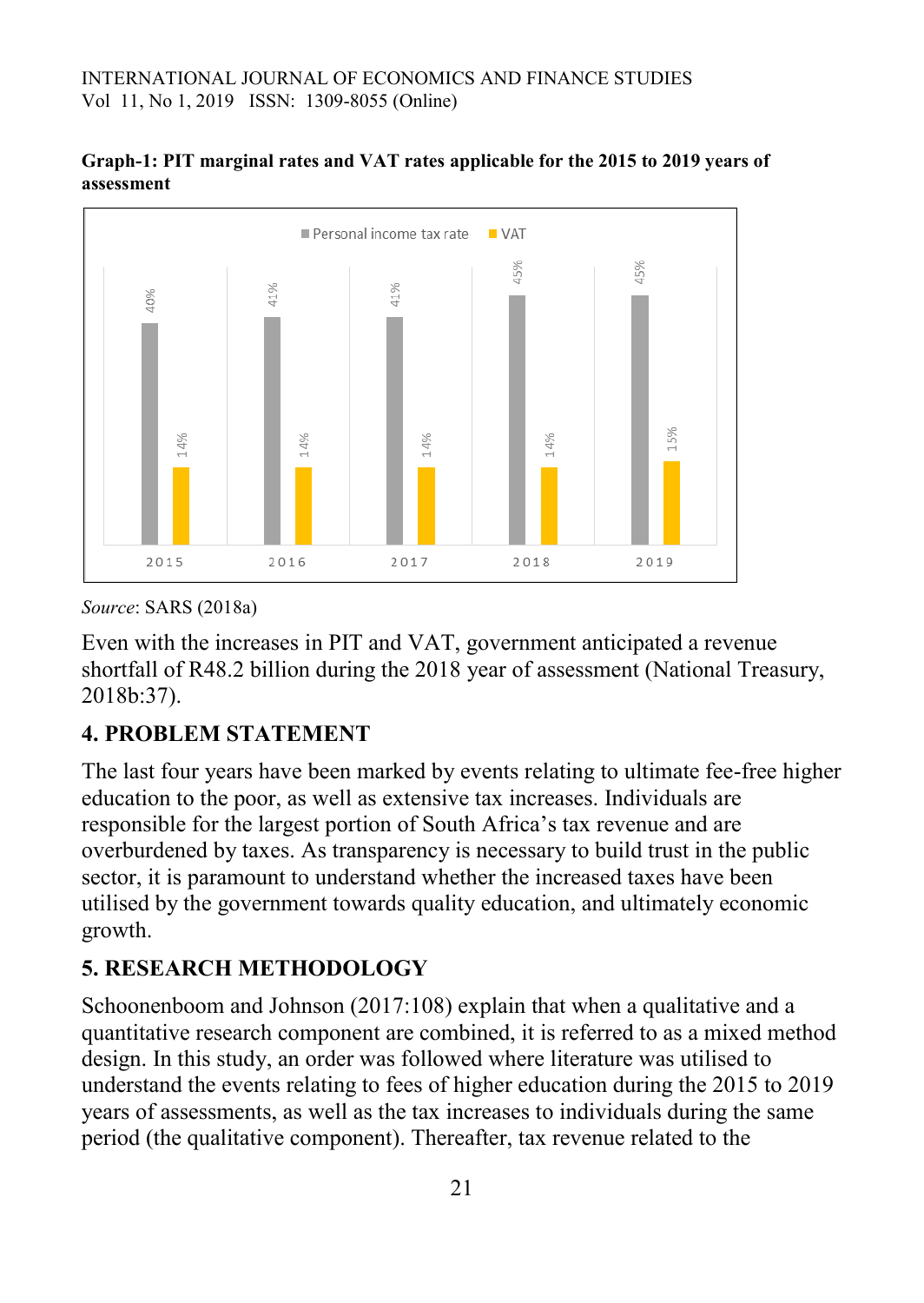



*Source*: SARS (2018a)

Even with the increases in PIT and VAT, government anticipated a revenue shortfall of R48.2 billion during the 2018 year of assessment (National Treasury, 2018b:37).

## **4. PROBLEM STATEMENT**

The last four years have been marked by events relating to ultimate fee-free higher education to the poor, as well as extensive tax increases. Individuals are responsible for the largest portion of South Africa's tax revenue and are overburdened by taxes. As transparency is necessary to build trust in the public sector, it is paramount to understand whether the increased taxes have been utilised by the government towards quality education, and ultimately economic growth.

## **5. RESEARCH METHODOLOGY**

Schoonenboom and Johnson (2017:108) explain that when a qualitative and a quantitative research component are combined, it is referred to as a mixed method design. In this study, an order was followed where literature was utilised to understand the events relating to fees of higher education during the 2015 to 2019 years of assessments, as well as the tax increases to individuals during the same period (the qualitative component). Thereafter, tax revenue related to the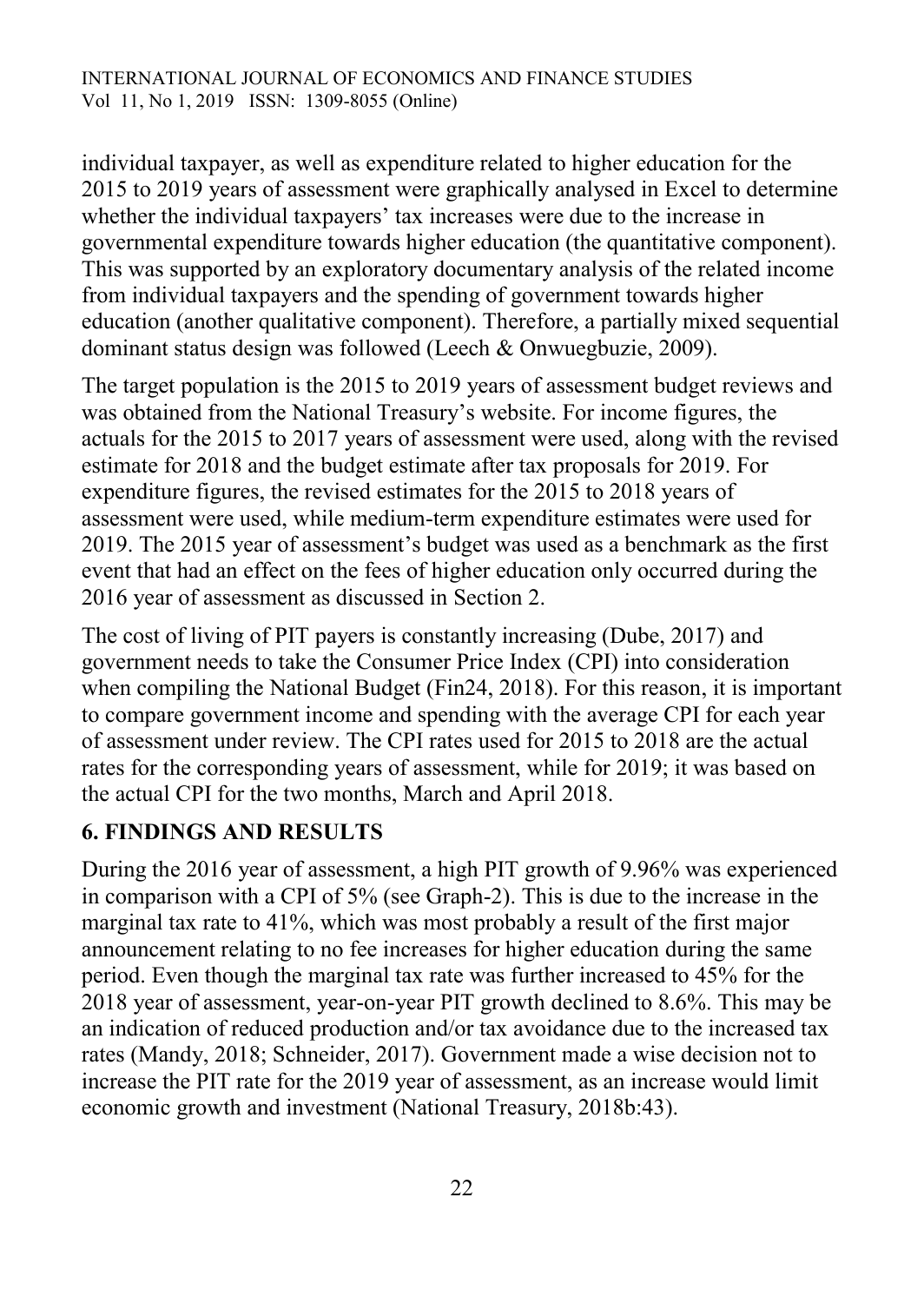individual taxpayer, as well as expenditure related to higher education for the 2015 to 2019 years of assessment were graphically analysed in Excel to determine whether the individual taxpayers' tax increases were due to the increase in governmental expenditure towards higher education (the quantitative component). This was supported by an exploratory documentary analysis of the related income from individual taxpayers and the spending of government towards higher education (another qualitative component). Therefore, a partially mixed sequential dominant status design was followed (Leech & Onwuegbuzie, 2009).

The target population is the 2015 to 2019 years of assessment budget reviews and was obtained from the National Treasury's website. For income figures, the actuals for the 2015 to 2017 years of assessment were used, along with the revised estimate for 2018 and the budget estimate after tax proposals for 2019. For expenditure figures, the revised estimates for the 2015 to 2018 years of assessment were used, while medium-term expenditure estimates were used for 2019. The 2015 year of assessment's budget was used as a benchmark as the first event that had an effect on the fees of higher education only occurred during the 2016 year of assessment as discussed in Section 2.

The cost of living of PIT payers is constantly increasing (Dube, 2017) and government needs to take the Consumer Price Index (CPI) into consideration when compiling the National Budget (Fin24, 2018). For this reason, it is important to compare government income and spending with the average CPI for each year of assessment under review. The CPI rates used for 2015 to 2018 are the actual rates for the corresponding years of assessment, while for 2019; it was based on the actual CPI for the two months, March and April 2018.

## **6. FINDINGS AND RESULTS**

During the 2016 year of assessment, a high PIT growth of 9.96% was experienced in comparison with a CPI of 5% (see Graph-2). This is due to the increase in the marginal tax rate to 41%, which was most probably a result of the first major announcement relating to no fee increases for higher education during the same period. Even though the marginal tax rate was further increased to 45% for the 2018 year of assessment, year-on-year PIT growth declined to 8.6%. This may be an indication of reduced production and/or tax avoidance due to the increased tax rates (Mandy, 2018; Schneider, 2017). Government made a wise decision not to increase the PIT rate for the 2019 year of assessment, as an increase would limit economic growth and investment (National Treasury, 2018b:43).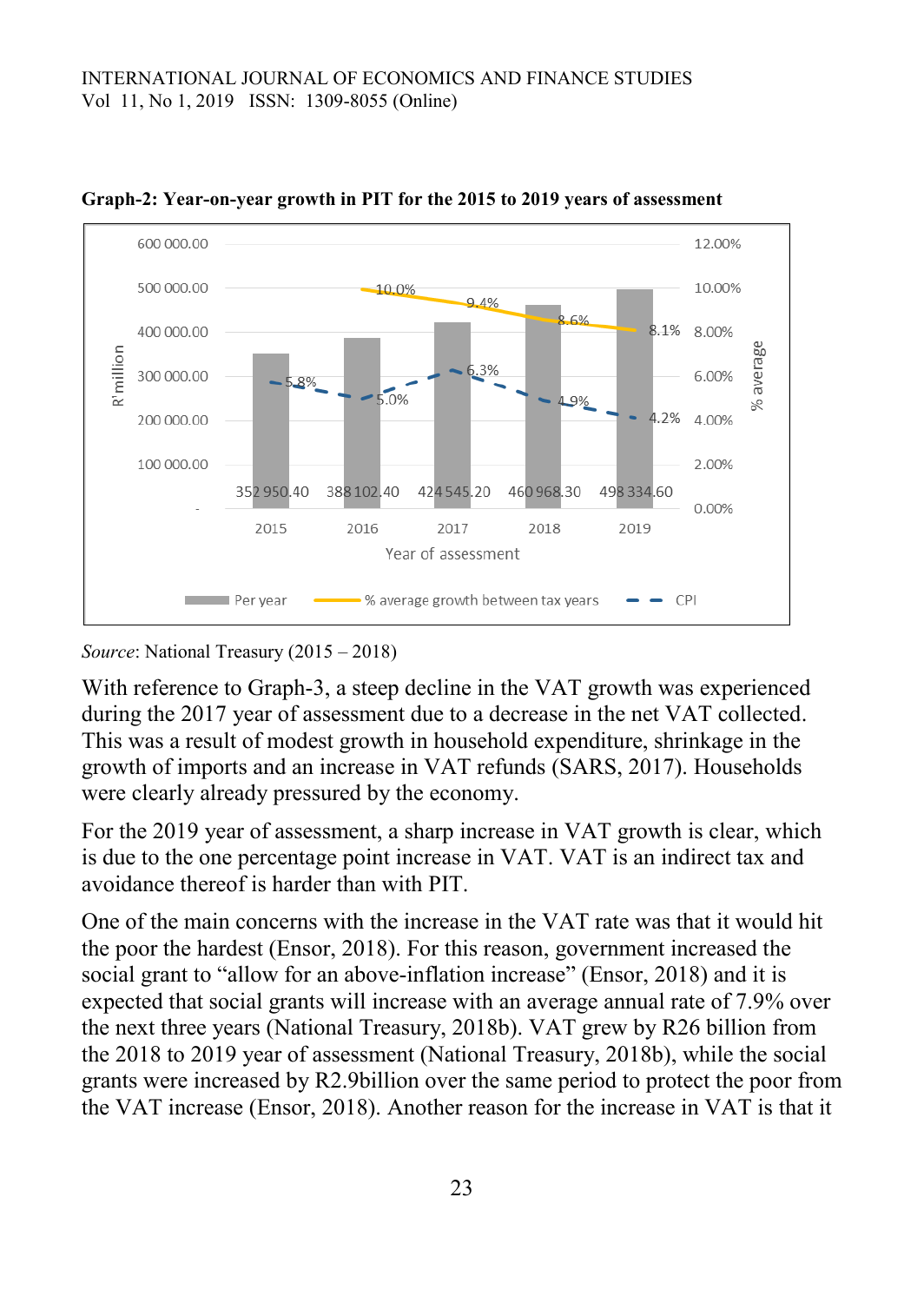

**Graph-2: Year-on-year growth in PIT for the 2015 to 2019 years of assessment**

*Source*: National Treasury (2015 – 2018)

With reference to Graph-3, a steep decline in the VAT growth was experienced during the 2017 year of assessment due to a decrease in the net VAT collected. This was a result of modest growth in household expenditure, shrinkage in the growth of imports and an increase in VAT refunds (SARS, 2017). Households were clearly already pressured by the economy.

For the 2019 year of assessment, a sharp increase in VAT growth is clear, which is due to the one percentage point increase in VAT. VAT is an indirect tax and avoidance thereof is harder than with PIT.

One of the main concerns with the increase in the VAT rate was that it would hit the poor the hardest (Ensor, 2018). For this reason, government increased the social grant to "allow for an above-inflation increase" (Ensor, 2018) and it is expected that social grants will increase with an average annual rate of 7.9% over the next three years (National Treasury, 2018b). VAT grew by R26 billion from the 2018 to 2019 year of assessment (National Treasury, 2018b), while the social grants were increased by R2.9billion over the same period to protect the poor from the VAT increase (Ensor, 2018). Another reason for the increase in VAT is that it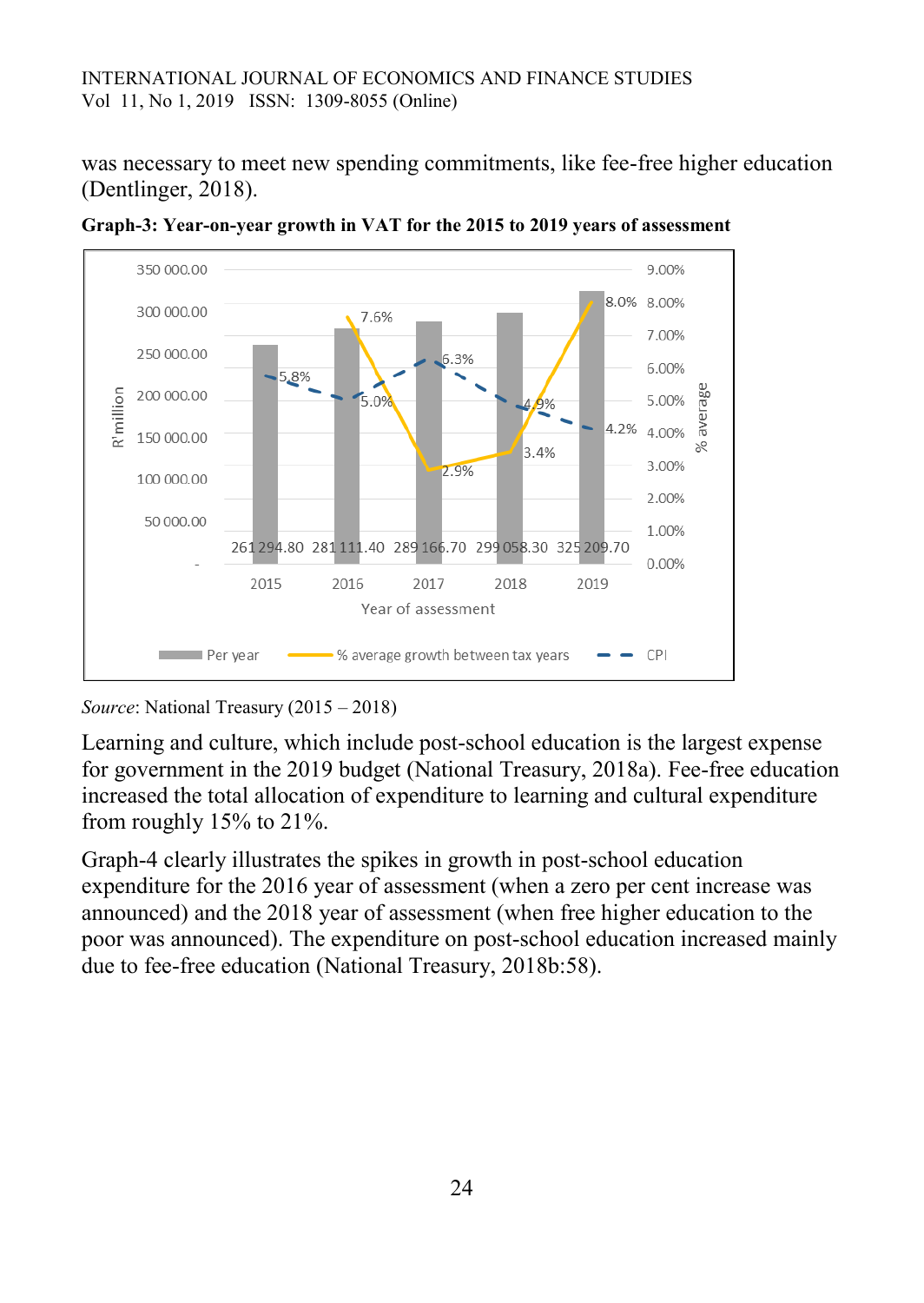was necessary to meet new spending commitments, like fee-free higher education (Dentlinger, 2018).



**Graph-3: Year-on-year growth in VAT for the 2015 to 2019 years of assessment**

*Source*: National Treasury (2015 – 2018)

Learning and culture, which include post-school education is the largest expense for government in the 2019 budget (National Treasury, 2018a). Fee-free education increased the total allocation of expenditure to learning and cultural expenditure from roughly 15% to 21%.

Graph-4 clearly illustrates the spikes in growth in post-school education expenditure for the 2016 year of assessment (when a zero per cent increase was announced) and the 2018 year of assessment (when free higher education to the poor was announced). The expenditure on post-school education increased mainly due to fee-free education (National Treasury, 2018b:58).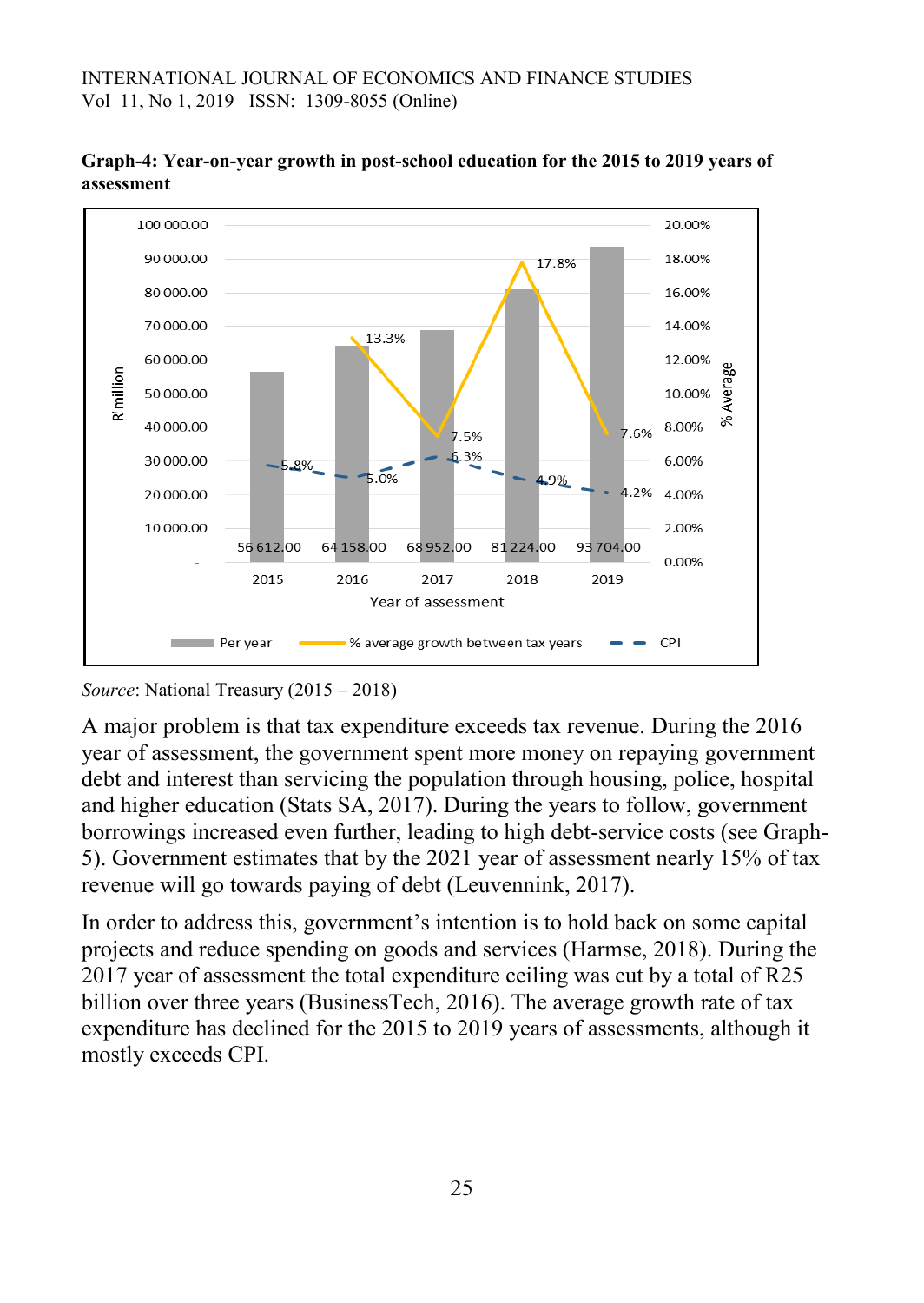

**Graph-4: Year-on-year growth in post-school education for the 2015 to 2019 years of assessment**

*Source*: National Treasury (2015 – 2018)

A major problem is that tax expenditure exceeds tax revenue. During the 2016 year of assessment, the government spent more money on repaying government debt and interest than servicing the population through housing, police, hospital and higher education (Stats SA, 2017). During the years to follow, government borrowings increased even further, leading to high debt-service costs (see Graph-5). Government estimates that by the 2021 year of assessment nearly 15% of tax revenue will go towards paying of debt (Leuvennink, 2017).

In order to address this, government's intention is to hold back on some capital projects and reduce spending on goods and services (Harmse, 2018). During the 2017 year of assessment the total expenditure ceiling was cut by a total of R25 billion over three years (BusinessTech, 2016). The average growth rate of tax expenditure has declined for the 2015 to 2019 years of assessments, although it mostly exceeds CPI.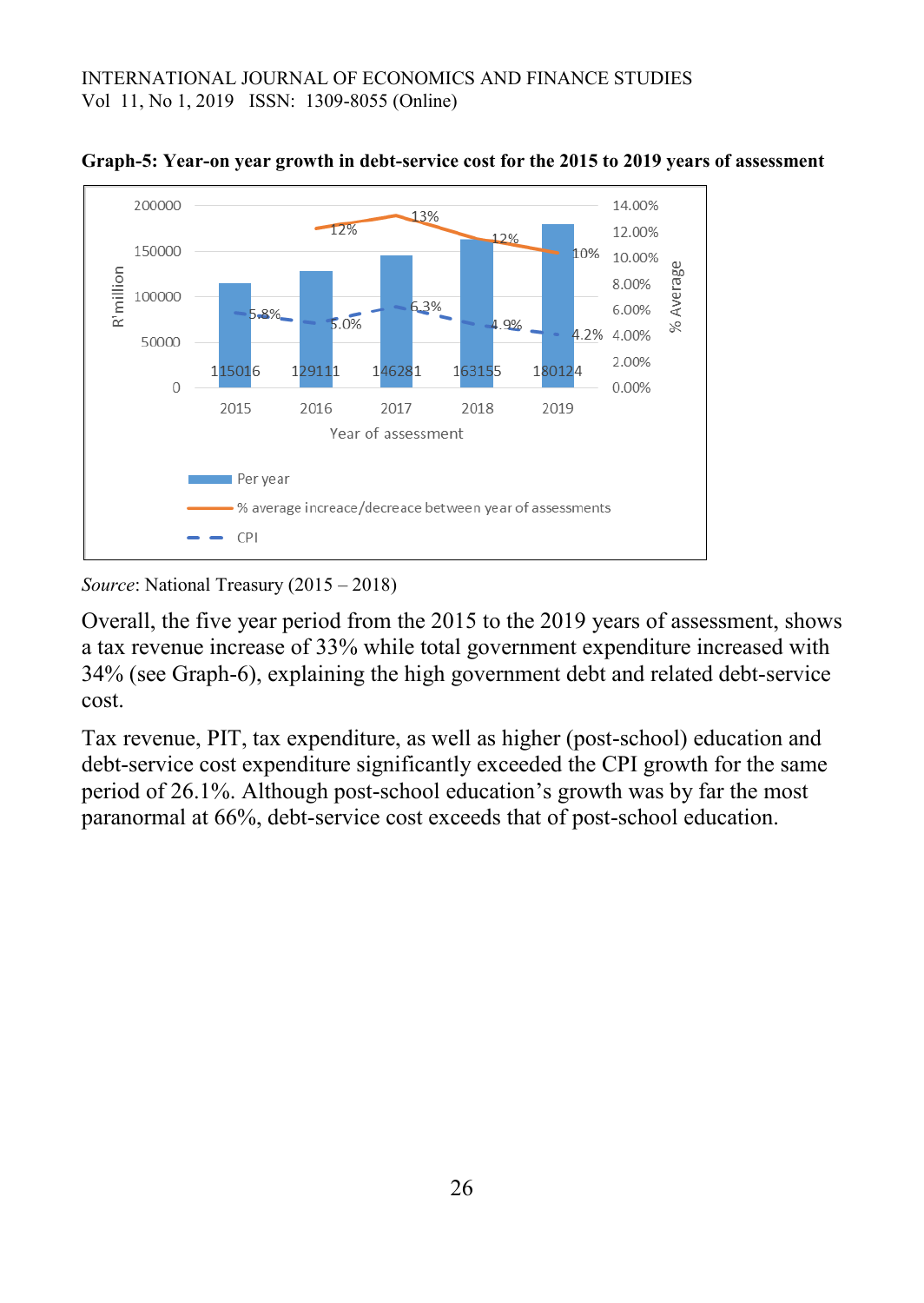



#### *Source*: National Treasury (2015 – 2018)

Overall, the five year period from the 2015 to the 2019 years of assessment, shows a tax revenue increase of 33% while total government expenditure increased with 34% (see Graph-6), explaining the high government debt and related debt-service cost.

Tax revenue, PIT, tax expenditure, as well as higher (post-school) education and debt-service cost expenditure significantly exceeded the CPI growth for the same period of 26.1%. Although post-school education's growth was by far the most paranormal at 66%, debt-service cost exceeds that of post-school education.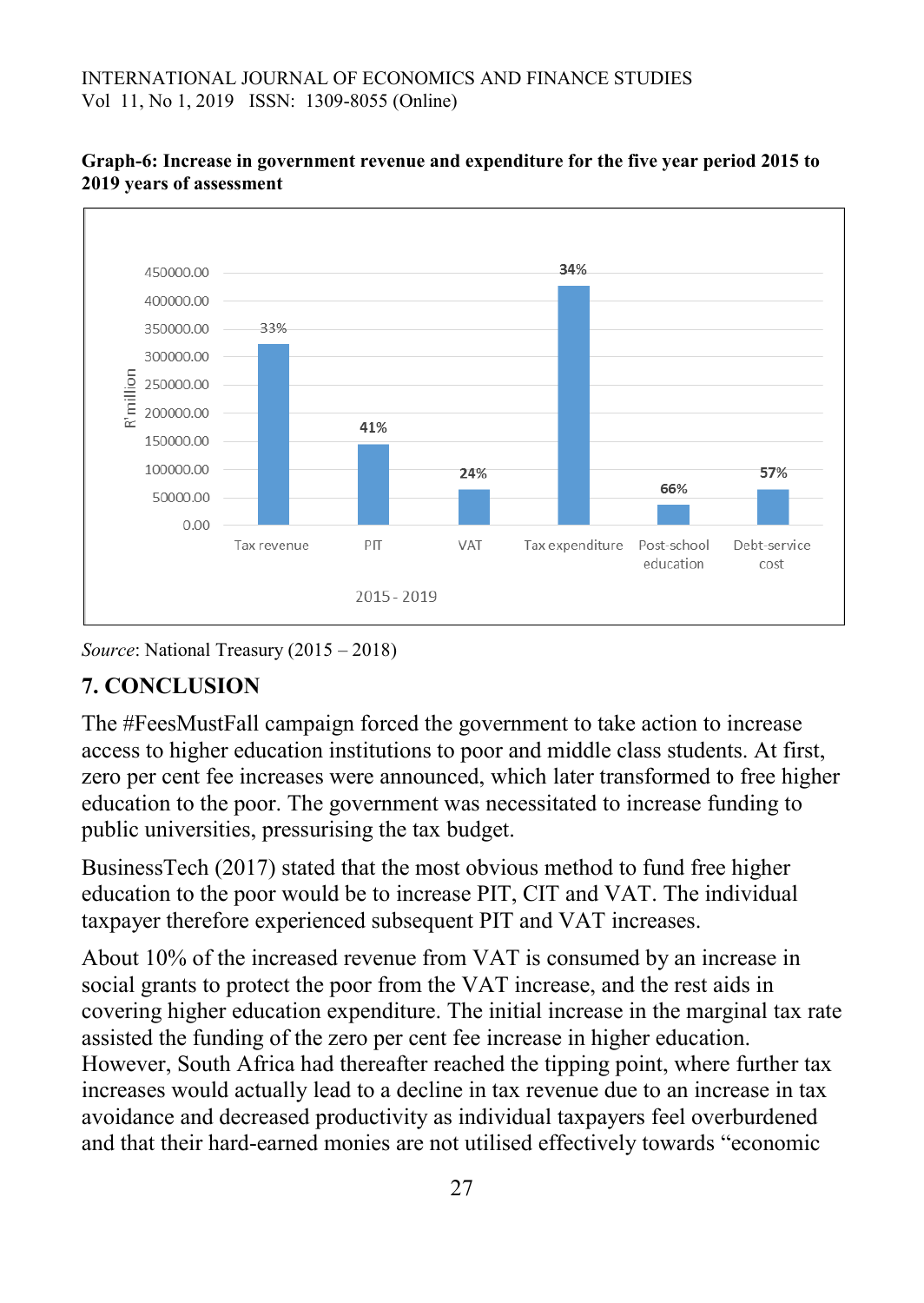

#### **Graph-6: Increase in government revenue and expenditure for the five year period 2015 to 2019 years of assessment**

*Source*: National Treasury (2015 – 2018)

## **7. CONCLUSION**

The #FeesMustFall campaign forced the government to take action to increase access to higher education institutions to poor and middle class students. At first, zero per cent fee increases were announced, which later transformed to free higher education to the poor. The government was necessitated to increase funding to public universities, pressurising the tax budget.

BusinessTech (2017) stated that the most obvious method to fund free higher education to the poor would be to increase PIT, CIT and VAT. The individual taxpayer therefore experienced subsequent PIT and VAT increases.

About 10% of the increased revenue from VAT is consumed by an increase in social grants to protect the poor from the VAT increase, and the rest aids in covering higher education expenditure. The initial increase in the marginal tax rate assisted the funding of the zero per cent fee increase in higher education. However, South Africa had thereafter reached the tipping point, where further tax increases would actually lead to a decline in tax revenue due to an increase in tax avoidance and decreased productivity as individual taxpayers feel overburdened and that their hard-earned monies are not utilised effectively towards "economic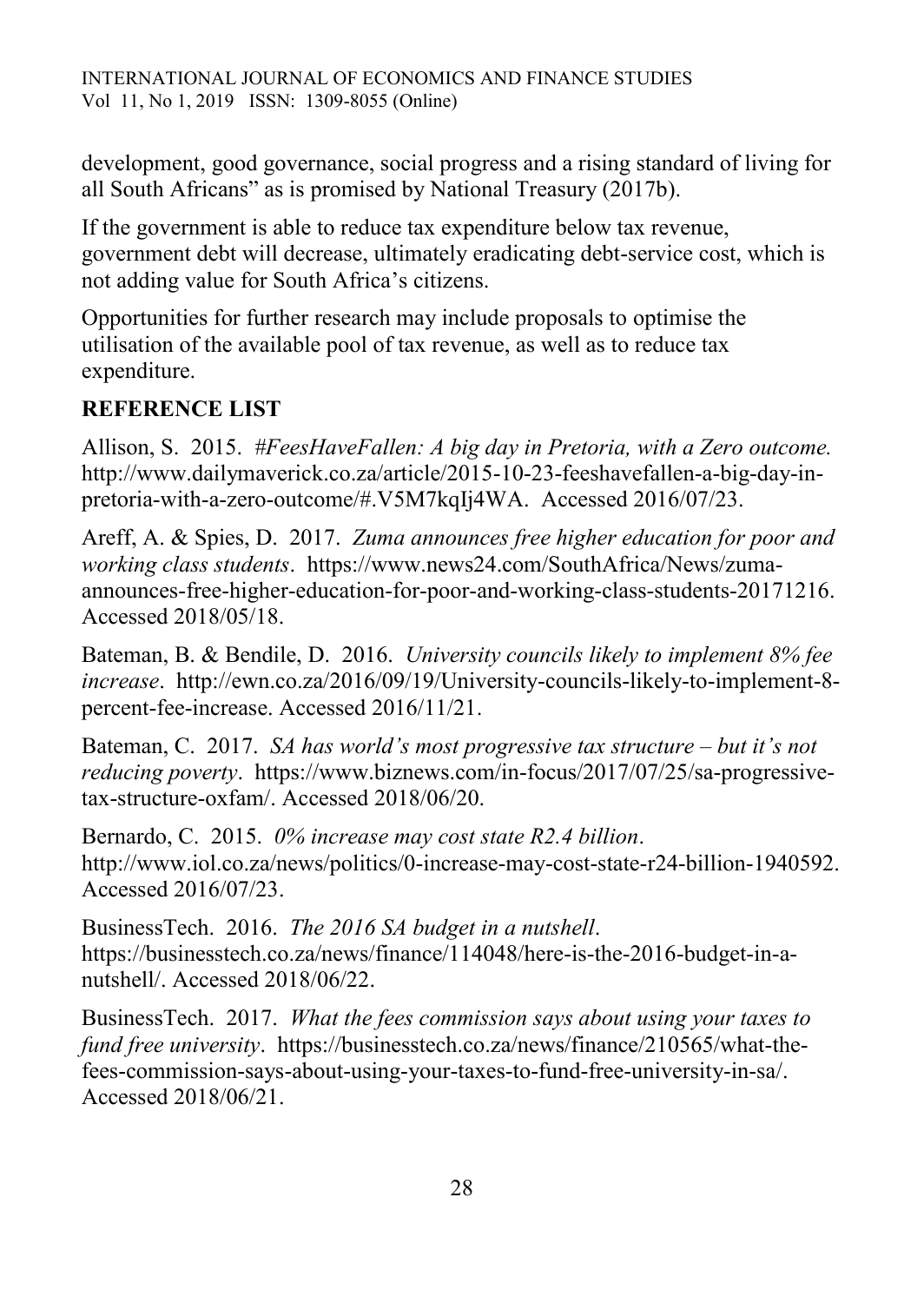development, good governance, social progress and a rising standard of living for all South Africans" as is promised by National Treasury (2017b).

If the government is able to reduce tax expenditure below tax revenue, government debt will decrease, ultimately eradicating debt-service cost, which is not adding value for South Africa's citizens.

Opportunities for further research may include proposals to optimise the utilisation of the available pool of tax revenue, as well as to reduce tax expenditure.

## **REFERENCE LIST**

Allison, S. 2015. *#FeesHaveFallen: A big day in Pretoria, with a Zero outcome.*  http://www.dailymaverick.co.za/article/2015-10-23-feeshavefallen-a-big-day-inpretoria-with-a-zero-outcome/#.V5M7kqIj4WA. Accessed 2016/07/23.

Areff, A. & Spies, D. 2017. *Zuma announces free higher education for poor and working class students*. https://www.news24.com/SouthAfrica/News/zumaannounces-free-higher-education-for-poor-and-working-class-students-20171216. Accessed 2018/05/18.

Bateman, B. & Bendile, D. 2016. *University councils likely to implement 8% fee increase*. http://ewn.co.za/2016/09/19/University-councils-likely-to-implement-8 percent-fee-increase. Accessed 2016/11/21.

Bateman, C. 2017. *SA has world's most progressive tax structure – but it's not reducing poverty*. https://www.biznews.com/in-focus/2017/07/25/sa-progressivetax-structure-oxfam/. Accessed 2018/06/20.

Bernardo, C. 2015. *0% increase may cost state R2.4 billion*. http://www.iol.co.za/news/politics/0-increase-may-cost-state-r24-billion-1940592. Accessed 2016/07/23.

BusinessTech. 2016. *The 2016 SA budget in a nutshell*. https://businesstech.co.za/news/finance/114048/here-is-the-2016-budget-in-anutshell/. Accessed 2018/06/22.

BusinessTech. 2017. *What the fees commission says about using your taxes to fund free university*. https://businesstech.co.za/news/finance/210565/what-thefees-commission-says-about-using-your-taxes-to-fund-free-university-in-sa/. Accessed 2018/06/21.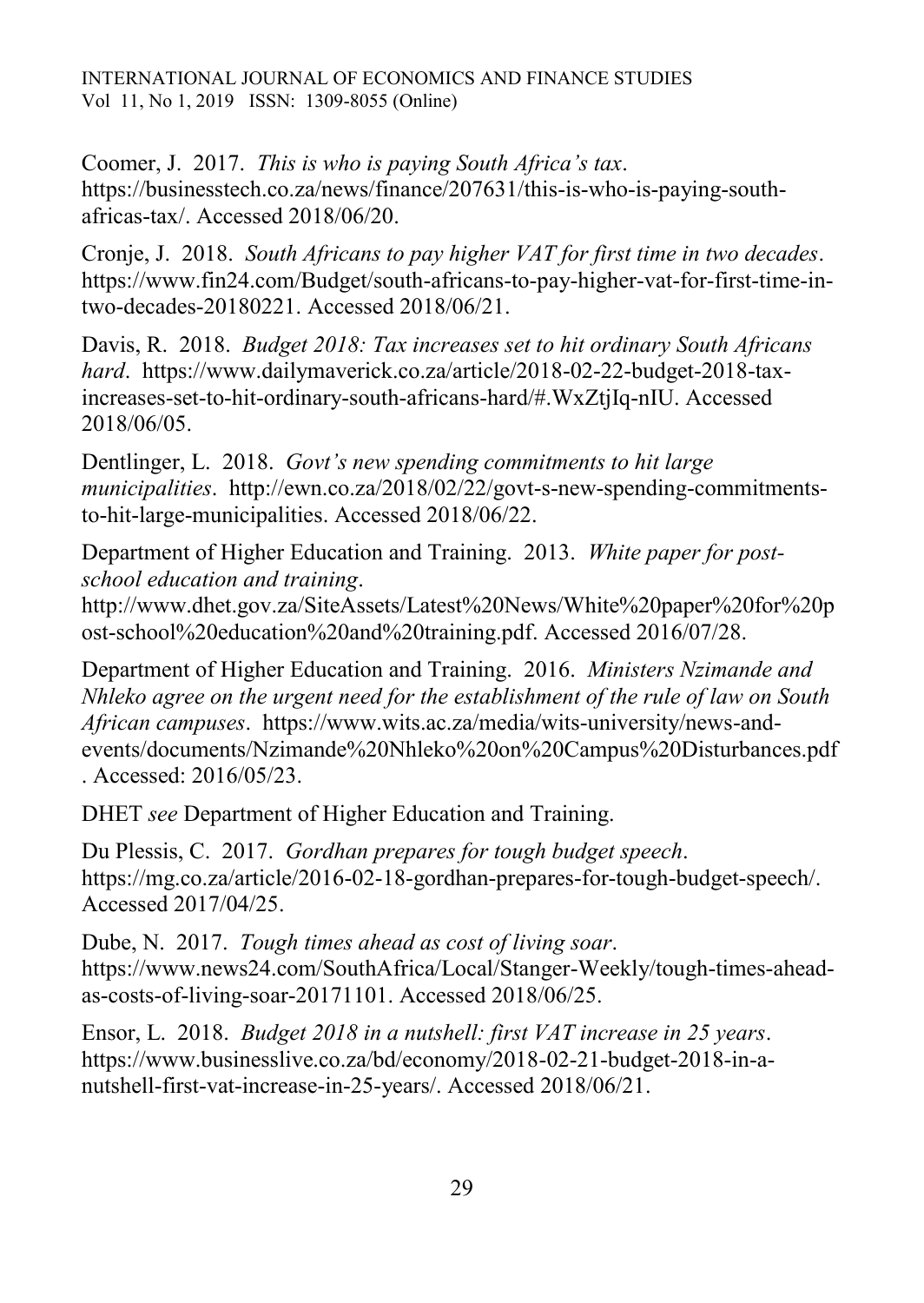Coomer, J. 2017. *This is who is paying South Africa's tax*. https://businesstech.co.za/news/finance/207631/this-is-who-is-paying-southafricas-tax/. Accessed 2018/06/20.

Cronje, J. 2018. *South Africans to pay higher VAT for first time in two decades*. https://www.fin24.com/Budget/south-africans-to-pay-higher-vat-for-first-time-intwo-decades-20180221. Accessed 2018/06/21.

Davis, R. 2018. *Budget 2018: Tax increases set to hit ordinary South Africans hard*. https://www.dailymaverick.co.za/article/2018-02-22-budget-2018-taxincreases-set-to-hit-ordinary-south-africans-hard/#.WxZtjIq-nIU. Accessed 2018/06/05.

Dentlinger, L. 2018. *Govt's new spending commitments to hit large municipalities*. http://ewn.co.za/2018/02/22/govt-s-new-spending-commitmentsto-hit-large-municipalities. Accessed 2018/06/22.

Department of Higher Education and Training. 2013. *White paper for postschool education and training*.

http://www.dhet.gov.za/SiteAssets/Latest%20News/White%20paper%20for%20p ost-school%20education%20and%20training.pdf. Accessed 2016/07/28.

Department of Higher Education and Training. 2016. *Ministers Nzimande and Nhleko agree on the urgent need for the establishment of the rule of law on South African campuses*. https://www.wits.ac.za/media/wits-university/news-andevents/documents/Nzimande%20Nhleko%20on%20Campus%20Disturbances.pdf . Accessed: 2016/05/23.

DHET *see* Department of Higher Education and Training.

Du Plessis, C. 2017. *Gordhan prepares for tough budget speech*. https://mg.co.za/article/2016-02-18-gordhan-prepares-for-tough-budget-speech/. Accessed 2017/04/25.

Dube, N. 2017. *Tough times ahead as cost of living soar*. https://www.news24.com/SouthAfrica/Local/Stanger-Weekly/tough-times-aheadas-costs-of-living-soar-20171101. Accessed 2018/06/25.

Ensor, L. 2018. *Budget 2018 in a nutshell: first VAT increase in 25 years*. https://www.businesslive.co.za/bd/economy/2018-02-21-budget-2018-in-anutshell-first-vat-increase-in-25-years/. Accessed 2018/06/21.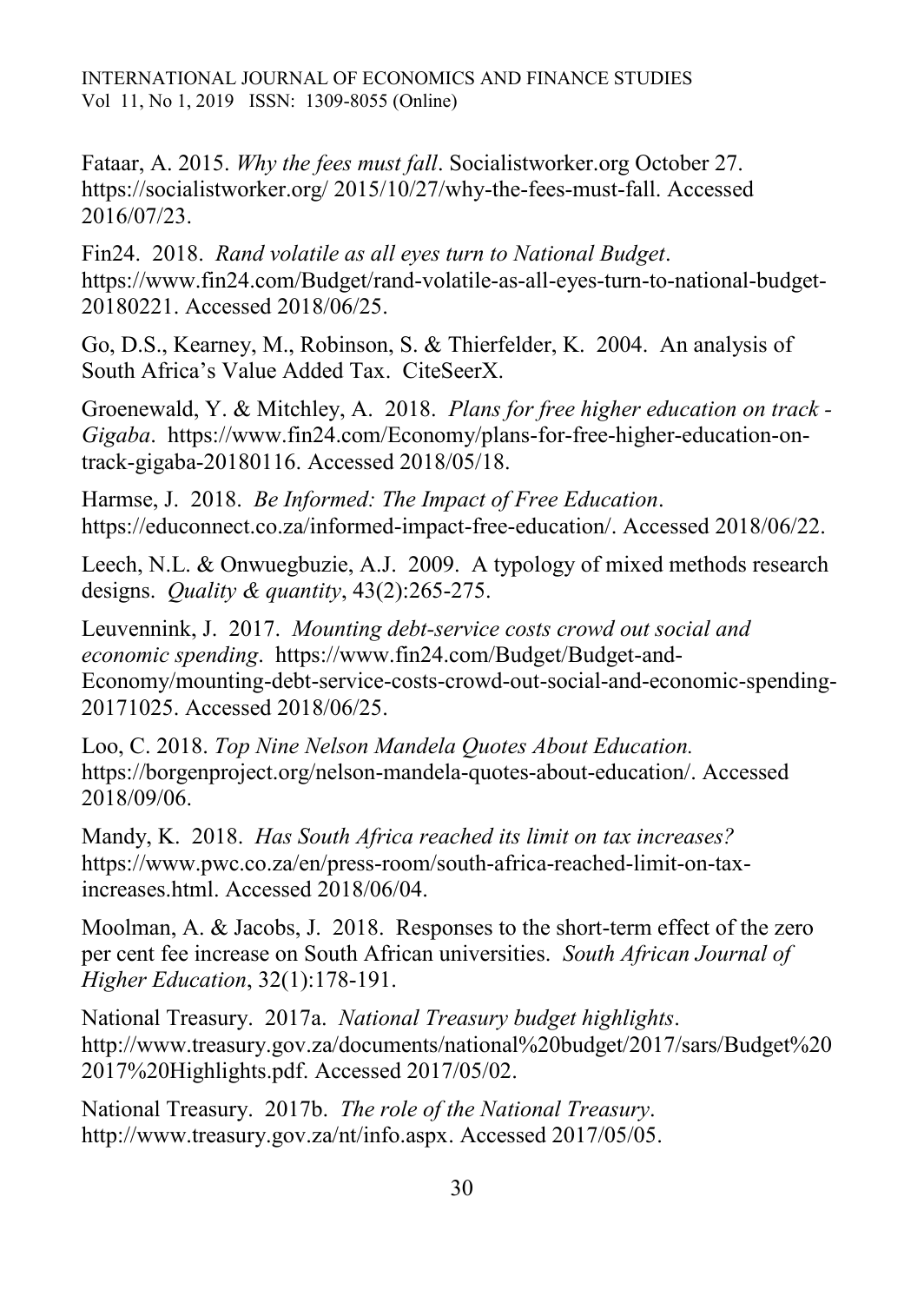Fataar, A. 2015. *Why the fees must fall*. Socialistworker.org October 27. https://socialistworker.org/ 2015/10/27/why-the-fees-must-fall. Accessed 2016/07/23.

Fin24. 2018. *Rand volatile as all eyes turn to National Budget*. https://www.fin24.com/Budget/rand-volatile-as-all-eyes-turn-to-national-budget-20180221. Accessed 2018/06/25.

Go, D.S., Kearney, M., Robinson, S. & Thierfelder, K. 2004. An analysis of South Africa's Value Added Tax. CiteSeerX.

Groenewald, Y. & Mitchley, A. 2018. *Plans for free higher education on track - Gigaba*. https://www.fin24.com/Economy/plans-for-free-higher-education-ontrack-gigaba-20180116. Accessed 2018/05/18.

Harmse, J. 2018. *Be Informed: The Impact of Free Education*. https://educonnect.co.za/informed-impact-free-education/. Accessed 2018/06/22.

Leech, N.L. & Onwuegbuzie, A.J. 2009. A typology of mixed methods research designs. *Quality & quantity*, 43(2):265-275.

Leuvennink, J. 2017. *Mounting debt-service costs crowd out social and economic spending*. https://www.fin24.com/Budget/Budget-and-Economy/mounting-debt-service-costs-crowd-out-social-and-economic-spending-20171025. Accessed 2018/06/25.

Loo, C. 2018. *Top Nine Nelson Mandela Quotes About Education.*  https://borgenproject.org/nelson-mandela-quotes-about-education/. Accessed 2018/09/06.

Mandy, K. 2018. *Has South Africa reached its limit on tax increases?* https://www.pwc.co.za/en/press-room/south-africa-reached-limit-on-taxincreases.html. Accessed 2018/06/04.

Moolman, A. & Jacobs, J. 2018. Responses to the short-term effect of the zero per cent fee increase on South African universities. *South African Journal of Higher Education*, 32(1):178-191.

National Treasury. 2017a. *National Treasury budget highlights*. http://www.treasury.gov.za/documents/national%20budget/2017/sars/Budget%20 2017%20Highlights.pdf. Accessed 2017/05/02.

National Treasury. 2017b. *The role of the National Treasury*. http://www.treasury.gov.za/nt/info.aspx. Accessed 2017/05/05.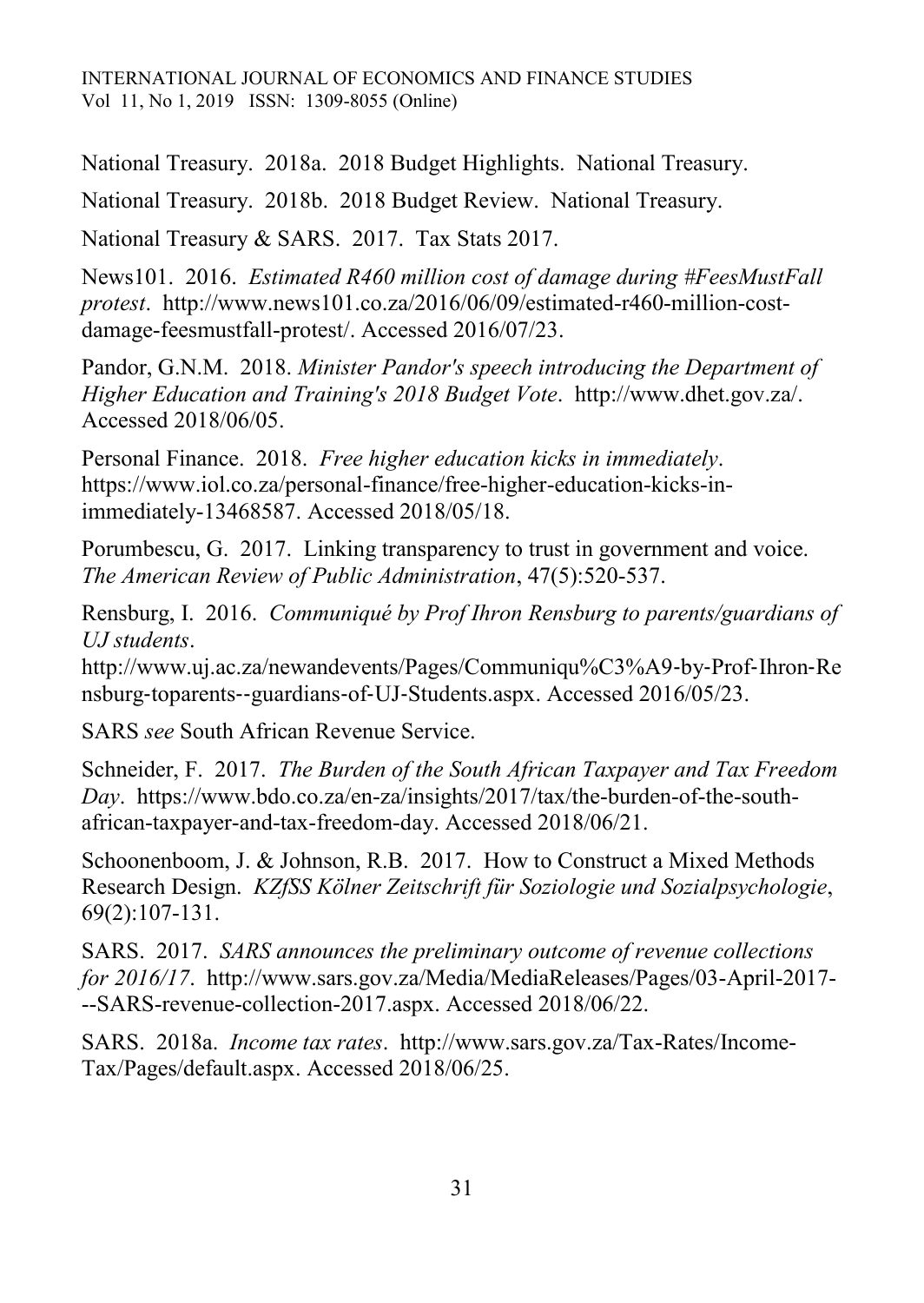National Treasury. 2018a. 2018 Budget Highlights. National Treasury.

National Treasury. 2018b. 2018 Budget Review. National Treasury.

National Treasury & SARS. 2017. Tax Stats 2017.

News101. 2016. *Estimated R460 million cost of damage during #FeesMustFall protest*. http://www.news101.co.za/2016/06/09/estimated-r460-million-costdamage-feesmustfall-protest/. Accessed 2016/07/23.

Pandor, G.N.M. 2018. *Minister Pandor's speech introducing the Department of Higher Education and Training's 2018 Budget Vote*. http://www.dhet.gov.za/. Accessed 2018/06/05.

Personal Finance. 2018. *Free higher education kicks in immediately*. https://www.iol.co.za/personal-finance/free-higher-education-kicks-inimmediately-13468587. Accessed 2018/05/18.

Porumbescu, G. 2017. Linking transparency to trust in government and voice. *The American Review of Public Administration*, 47(5):520-537.

Rensburg, I. 2016. *Communiqué by Prof Ihron Rensburg to parents/guardians of UJ students*.

http://www.uj.ac.za/newandevents/Pages/Communiqu%C3%A9‐by‐Prof‐Ihron‐Re nsburg‐toparents‐‐guardians‐of‐UJ‐Students.aspx. Accessed 2016/05/23.

SARS *see* South African Revenue Service.

Schneider, F. 2017. *The Burden of the South African Taxpayer and Tax Freedom Day*. https://www.bdo.co.za/en-za/insights/2017/tax/the-burden-of-the-southafrican-taxpayer-and-tax-freedom-day. Accessed 2018/06/21.

Schoonenboom, J. & Johnson, R.B. 2017. How to Construct a Mixed Methods Research Design. *KZfSS Kölner Zeitschrift für Soziologie und Sozialpsychologie*, 69(2):107-131.

SARS. 2017. *SARS announces the preliminary outcome of revenue collections for 2016/17*. http://www.sars.gov.za/Media/MediaReleases/Pages/03-April-2017- --SARS-revenue-collection-2017.aspx. Accessed 2018/06/22.

SARS. 2018a. *Income tax rates*. http://www.sars.gov.za/Tax-Rates/Income-Tax/Pages/default.aspx. Accessed 2018/06/25.